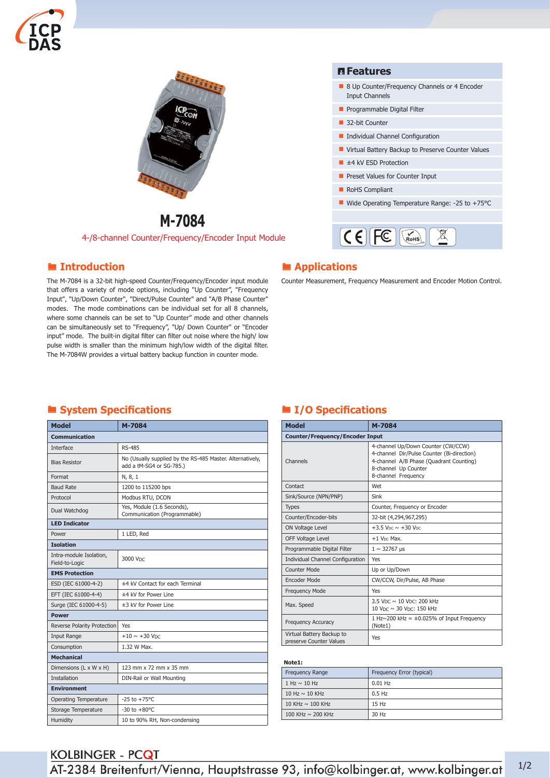



# **M-7084**

4-/8-channel Counter/Frequency/Encoder Input Module

The M-7084 is a 32-bit high-speed Counter/Frequency/Encoder input module that offers a variety of mode options, including "Up Counter", "Frequency Input", "Up/Down Counter", "Direct/Pulse Counter" and "A/B Phase Counter" modes. The mode combinations can be individual set for all 8 channels, where some channels can be set to "Up Counter" mode and other channels can be simultaneously set to "Frequency", "Up/ Down Counter" or "Encoder input" mode. The built-in digital filter can filter out noise where the high/ low pulse width is smaller than the minimum high/low width of the digital filter. The M-7084W provides a virtual battery backup function in counter mode.

### **Features**

- 8 Up Counter/Frequency Channels or 4 Encoder Input Channels
- **Programmable Digital Filter**
- 32-bit Counter
- **Individual Channel Configuration**
- Virtual Battery Backup to Preserve Counter Values
- ±4 kV ESD Protection
- **Preset Values for Counter Input**
- RoHS Compliant
- Wide Operating Temperature Range: -25 to +75°C



# **Introduction Applications**

Counter Measurement, Frequency Measurement and Encoder Motion Control.

# **System Specifications CO I I/O** Specifications

| <b>Model</b>                              | M-7084                                                                                |  |  |  |  |  |
|-------------------------------------------|---------------------------------------------------------------------------------------|--|--|--|--|--|
| Communication                             |                                                                                       |  |  |  |  |  |
| <b>Interface</b>                          | <b>RS-485</b>                                                                         |  |  |  |  |  |
| <b>Bias Resistor</b>                      | No (Usually supplied by the RS-485 Master. Alternatively,<br>add a tM-SG4 or SG-785.) |  |  |  |  |  |
| Format                                    | N, 8, 1                                                                               |  |  |  |  |  |
| <b>Baud Rate</b>                          | 1200 to 115200 bps                                                                    |  |  |  |  |  |
| Protocol                                  | Modbus RTU, DCON                                                                      |  |  |  |  |  |
| Dual Watchdog                             | Yes, Module (1.6 Seconds),<br>Communication (Programmable)                            |  |  |  |  |  |
| <b>LED Indicator</b>                      |                                                                                       |  |  |  |  |  |
| Power                                     | 1 LED, Red                                                                            |  |  |  |  |  |
| <b>Isolation</b>                          |                                                                                       |  |  |  |  |  |
| Intra-module Isolation,<br>Field-to-Logic | 3000 VDC                                                                              |  |  |  |  |  |
| <b>EMS Protection</b>                     |                                                                                       |  |  |  |  |  |
| ESD (IEC 61000-4-2)                       | ±4 kV Contact for each Terminal                                                       |  |  |  |  |  |
| EFT (IEC 61000-4-4)                       | ±4 kV for Power Line                                                                  |  |  |  |  |  |
| Surge (IEC 61000-4-5)                     | ±3 kV for Power Line                                                                  |  |  |  |  |  |
| <b>Power</b>                              |                                                                                       |  |  |  |  |  |
| Reverse Polarity Protection               | Yes                                                                                   |  |  |  |  |  |
| Input Range                               | $+10 \sim +30$ VDC                                                                    |  |  |  |  |  |
| Consumption                               | 1.32 W Max.                                                                           |  |  |  |  |  |
| <b>Mechanical</b>                         |                                                                                       |  |  |  |  |  |
| Dimensions (L x W x H)                    | 123 mm x 72 mm x 35 mm                                                                |  |  |  |  |  |
| <b>Installation</b>                       | DIN-Rail or Wall Mounting                                                             |  |  |  |  |  |
| <b>Environment</b>                        |                                                                                       |  |  |  |  |  |
| <b>Operating Temperature</b>              | $-25$ to $+75^{\circ}$ C                                                              |  |  |  |  |  |
| Storage Temperature                       | $-30$ to $+80^{\circ}$ C                                                              |  |  |  |  |  |
| Humidity                                  | 10 to 90% RH, Non-condensing                                                          |  |  |  |  |  |

| <b>Model</b>                                         | M-7084                                                                                                                                                                     |  |  |  |  |
|------------------------------------------------------|----------------------------------------------------------------------------------------------------------------------------------------------------------------------------|--|--|--|--|
| <b>Counter/Frequency/Encoder Input</b>               |                                                                                                                                                                            |  |  |  |  |
| Channels                                             | 4-channel Up/Down Counter (CW/CCW)<br>4-channel Dir/Pulse Counter (Bi-direction)<br>4-channel A/B Phase (Quadrant Counting)<br>8-channel Up Counter<br>8-channel Frequency |  |  |  |  |
| Contact                                              | Wet                                                                                                                                                                        |  |  |  |  |
| Sink/Source (NPN/PNP)                                | Sink                                                                                                                                                                       |  |  |  |  |
| <b>Types</b>                                         | Counter, Frequency or Encoder                                                                                                                                              |  |  |  |  |
| Counter/Encoder-bits                                 | 32-bit (4,294,967,295)                                                                                                                                                     |  |  |  |  |
| ON Voltage Level                                     | $+3.5$ V <sub>DC</sub> $\sim +30$ V <sub>DC</sub>                                                                                                                          |  |  |  |  |
| <b>OFF Voltage Level</b>                             | $+1$ V <sub>DC</sub> Max.                                                                                                                                                  |  |  |  |  |
| Programmable Digital Filter                          | $1 \sim 32767 \,\mu s$                                                                                                                                                     |  |  |  |  |
| Individual Channel Configuration                     | Yes                                                                                                                                                                        |  |  |  |  |
| Counter Mode                                         | Up or Up/Down                                                                                                                                                              |  |  |  |  |
| <b>Encoder Mode</b>                                  | CW/CCW, Dir/Pulse, AB Phase                                                                                                                                                |  |  |  |  |
| <b>Frequency Mode</b>                                | Yes                                                                                                                                                                        |  |  |  |  |
| Max. Speed                                           | 3.5 VDC $\sim$ 10 VDC: 200 kHz<br>10 VDC ~ 30 VDC: 150 kHz                                                                                                                 |  |  |  |  |
| <b>Frequency Accuracy</b>                            | 1 Hz $\sim$ 200 kHz = $\pm$ 0.025% of Input Frequency<br>(Note1)                                                                                                           |  |  |  |  |
| Virtual Battery Backup to<br>preserve Counter Values | Yes                                                                                                                                                                        |  |  |  |  |

### **Note1:**

| .                      |                           |  |  |  |
|------------------------|---------------------------|--|--|--|
| <b>Frequency Range</b> | Frequency Error (typical) |  |  |  |
| 1 Hz $\sim$ 10 Hz      | $0.01$ Hz                 |  |  |  |
| 10 Hz $\sim$ 10 KHz    | $0.5$ Hz                  |  |  |  |
| 10 KHz $\sim$ 100 KHz  | 15 Hz                     |  |  |  |
| 100 KHz $\sim$ 200 KHz | 30 Hz                     |  |  |  |

# **KOLBINGER - PCQT**

AT-2384 Breitenfurt/Vienna, Hauptstrasse 93, info@kolbinger.at, www.kolbinger.at 1/2